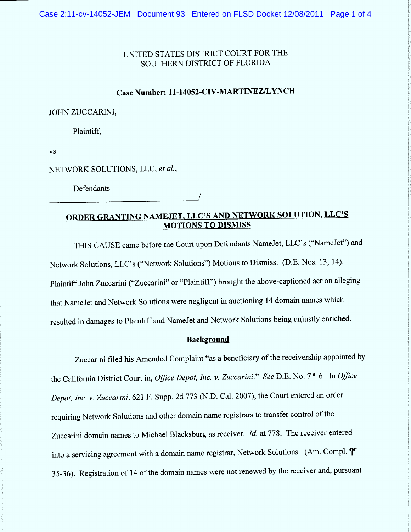## UNITED STATES DISTRICT COURT FOR THE SOUTHERN DISTRICT OF FLORIDA

## Case Number: 11-14052-CIV-MARTINEZ/LYNCH

JOHN ZUCCARINI,

Plaintiff.

VS.

NETWORK SOLUTIONS, LLC, et al.,

Defendants.

## ORDER GRANTING NAMEJET, LLC'S AND NETWORK SOLUTION, LLC'S **MOTIONS TO DISMISS**

THIS CAUSE came before the Court upon Defendants NameJet, LLC's ("NameJet") and Network Solutions, LLC's ("Network Solutions") Motions to Dismiss. (D.E. Nos. 13, 14). Plaintiff John Zuccarini ("Zuccarini" or "Plaintiff") brought the above-captioned action alleging that NameJet and Network Solutions were negligent in auctioning 14 domain names which resulted in damages to Plaintiff and NameJet and Network Solutions being unjustly enriched.

### **Background**

Zuccarini filed his Amended Complaint "as a beneficiary of the receivership appointed by the California District Court in, Office Depot, Inc. v. Zuccarini." See D.E. No. 7 | 6. In Office Depot, Inc. v. Zuccarini, 621 F. Supp. 2d 773 (N.D. Cal. 2007), the Court entered an order requiring Network Solutions and other domain name registrars to transfer control of the Zuccarini domain names to Michael Blacksburg as receiver. Id. at 778. The receiver entered into a servicing agreement with a domain name registrar, Network Solutions. (Am. Compl. 11) 35-36). Registration of 14 of the domain names were not renewed by the receiver and, pursuant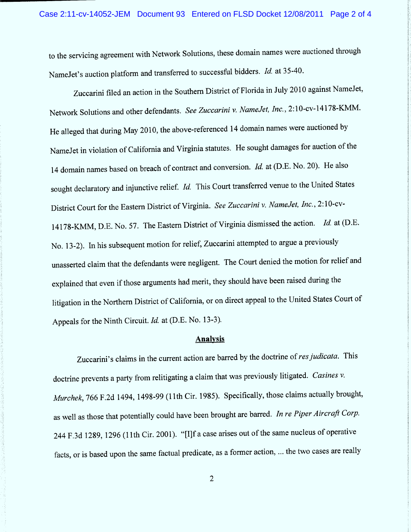to the servicing agreement with Network Solutions, these domain names were auctioned through NameJet's auction platform and transferred to successful bidders. Id. at 35-40.

Zuccarini filed an action in the Southern District of Florida in July 2010 against NameJet, Network Solutions and other defendants. See Zuccarini v. NameJet, Inc., 2:10-cv-14178-KMM. He alleged that during May 2010, the above-referenced 14 domain names were auctioned by NameJet in violation of California and Virginia statutes. He sought damages for auction of the 14 domain names based on breach of contract and conversion. Id. at (D.E. No. 20). He also sought declaratory and injunctive relief. Id. This Court transferred venue to the United States District Court for the Eastern District of Virginia. See Zuccarini v. Namelet, Inc. , 2: 10-cv-14178-KMM, D.E. No. 57. The Eastern District of Virginia dismissed the action. Id. at (D.E. No. 13-2). ln his subsequent motion for relief, Zuccarini attempted to argue a previously unasserted claim that the defendants were negligent. The Court denied the motion for relief and explained that even if those arguments had merit, they should have been raised during the litigation in the Northern District of California, or on direct appeal to the United States Court of Appeals for the Ninth Circuit. Id. at (D.E. No. 13-3).

#### **Analysis**

Zuccarini's claims in the current action are barred by the doctrine of res judicata. This doctrine prevents a party from relitigating a claim that was previously litigated. Casines v. Murchek, 766 F.2d 1494, 1498-99 (11th Cir. 1985). Specifically, those claims actually brought, as well as those that potentially could have been brought are barred. In re Piper Aircraft Corp. 244 F.3d 1289, 1296 (11th Cir. 2001). "[I]f a case arises out of the same nucleus of operative facts, or is based upon the same factual predicate, as a former action, ... the two cases are really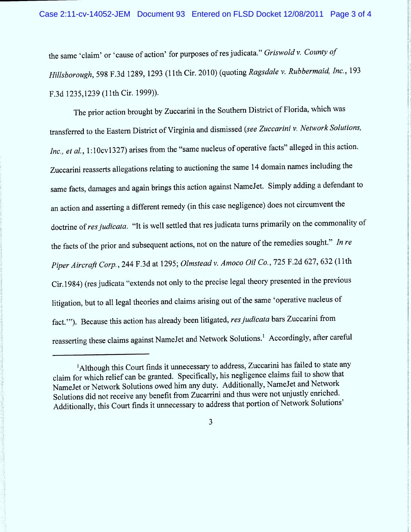the same 'claim' or 'cause of action' for purposes of res judicata." Griswold v. County of Hillsborough, 598 F.3d 1289, 1293 (11th Cir. 2010) (quoting Ragsdale v. Rubbermaid, Inc., 193 F.3d 1235,1239 (11th Cir. 1999)).

The prior action brought by Zuccarini in the Southern District of Florida, which was transferred to the Eastern District of Virginia and dismissed (see Zuccarini v. Network Solutions, Inc., et al., 1:10cv1327) arises from the "same nucleus of operative facts" alleged in this action. Zuccarini reasserts allegations relating to auctioning the same 14 domain names including the same facts, damages and again brings this action against NameJet. Simply adding a defendant to an action and asserting a different remedy (in this case negligence) does not circumvent the doctrine of res judicata. "It is well settled that res judicata turns primarily on the commonality of the facts of the prior and subsequent actions, not on the nature of the remedies sought." In re Piper Aircraft Corp., 244 F.3d at 1295; Olmstead v. Amoco Oil Co., 725 F.2d 627, 632 (11th Cir.1984) (res judicata "extends not only to the precise legal theory presented in the previous litigation, but to all legal theories and claims arising out of the same 'operative nucleus of fact.'"). Because this action has already been litigated, res judicata bars Zuccarini from reasserting these claims against NameJet and Network Solutions.<sup>1</sup> Accordingly, after careful

3

<sup>&</sup>lt;sup>1</sup>Although this Court finds it unnecessary to address, Zuccarini has failed to state any claim for which relief can be granted. Specifically, his negligence claim s fail to show that NameJet or Network Solutions owed him any duty. Additionally, NameJet and Network Solutions did not receive any benefit from Zucarrini and thus were not unjustly enriched. Additionally, this Court finds it unnecessary to address that portion of Network Solutions'